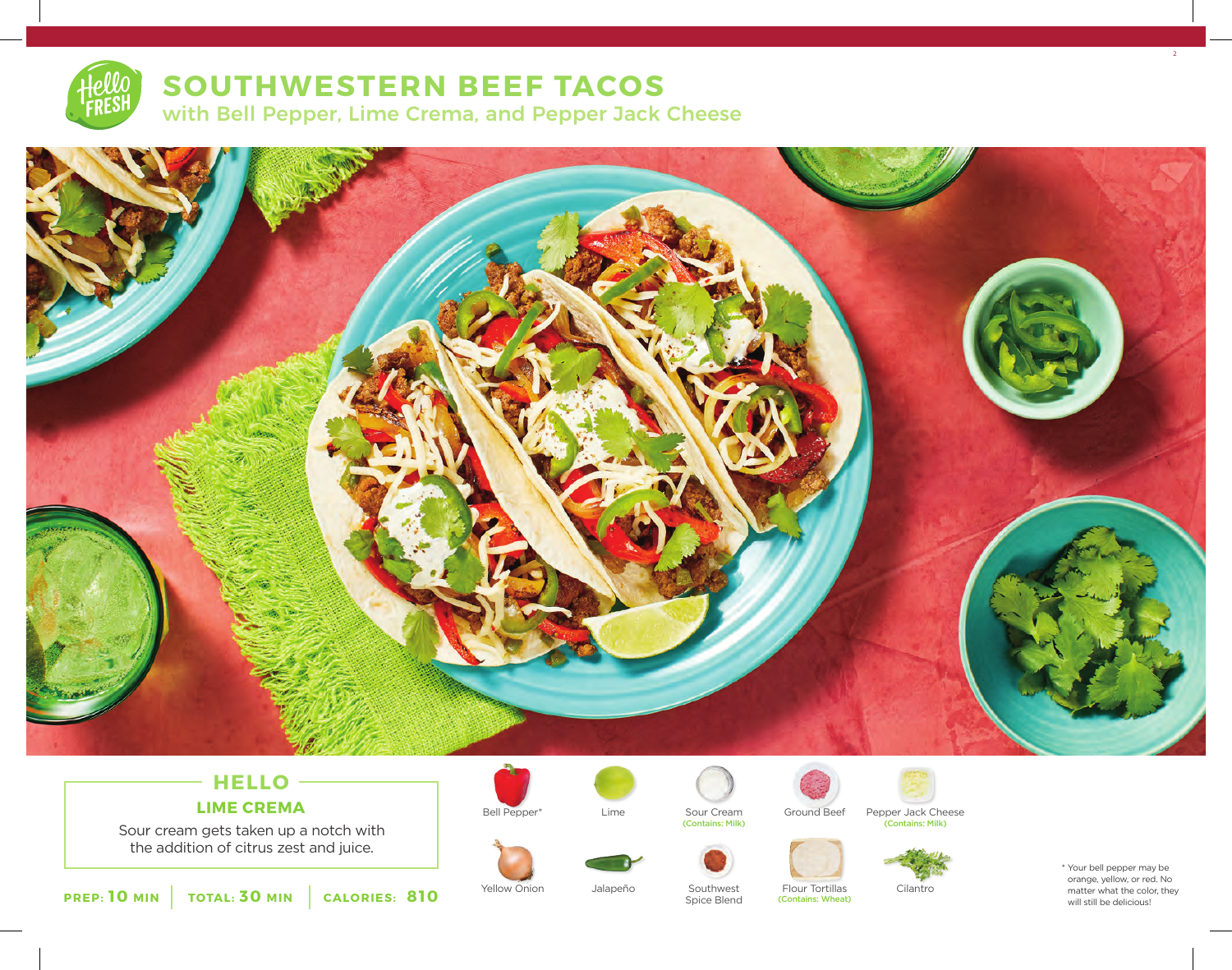

## **SOUTHWESTERN BEEF TACOS**

with Bell Pepper, Lime Crema, and Pepper Jack Cheese



# **HELLO**

Sour cream gets taken up a notch with the addition of citrus zest and juice.















\* Your bell pepper may be orange, yellow, or red. No matter what the color, they will still be delicious!

 $2<sup>2</sup>$ 



Spice Blend

Yellow Onion Southwest Flour Tortillas Jalapeño Cilantro (Contains: Wheat)